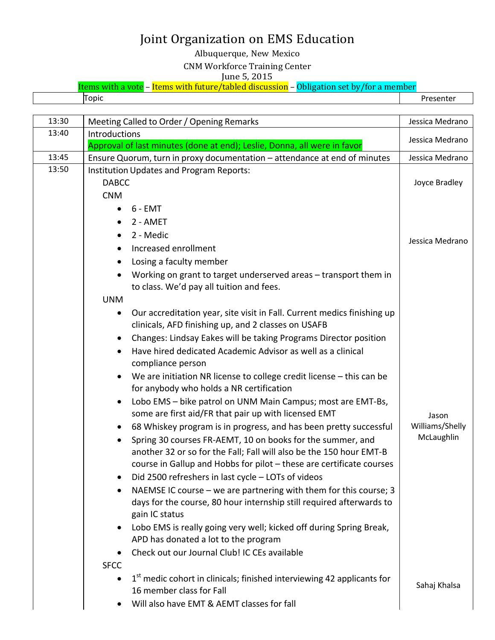Albuquerque, New Mexico

CNM Workforce Training Center

June 5, 2015

Items with a vote – Items with future/tabled discussion – Obligation set by/for a member

Topic Presenter

| 13:40<br>Introductions<br>Jessica Medrano<br>Approval of last minutes (done at end); Leslie, Donna, all were in favor<br>13:45<br>Ensure Quorum, turn in proxy documentation - attendance at end of minutes<br>Jessica Medrano<br>13:50<br>Institution Updates and Program Reports:<br><b>DABCC</b><br>Joyce Bradley<br><b>CNM</b><br>$6 - EMT$<br>$\bullet$<br>2 - AMET<br>2 - Medic<br>Jessica Medrano<br>Increased enrollment<br>Losing a faculty member<br>Working on grant to target underserved areas - transport them in<br>to class. We'd pay all tuition and fees.<br><b>UNM</b><br>Our accreditation year, site visit in Fall. Current medics finishing up<br>clinicals, AFD finishing up, and 2 classes on USAFB<br>Changes: Lindsay Eakes will be taking Programs Director position<br>Have hired dedicated Academic Advisor as well as a clinical<br>compliance person<br>We are initiation NR license to college credit license $-$ this can be<br>for anybody who holds a NR certification<br>Lobo EMS - bike patrol on UNM Main Campus; most are EMT-Bs,<br>some are first aid/FR that pair up with licensed EMT<br>Jason<br>Williams/Shelly<br>68 Whiskey program is in progress, and has been pretty successful<br>McLaughlin<br>Spring 30 courses FR-AEMT, 10 on books for the summer, and<br>$\bullet$<br>another 32 or so for the Fall; Fall will also be the 150 hour EMT-B<br>course in Gallup and Hobbs for pilot - these are certificate courses<br>Did 2500 refreshers in last cycle - LOTs of videos<br>NAEMSE IC course - we are partnering with them for this course; 3<br>days for the course, 80 hour internship still required afterwards to<br>gain IC status<br>Lobo EMS is really going very well; kicked off during Spring Break,<br>APD has donated a lot to the program<br>Check out our Journal Club! IC CEs available<br><b>SFCC</b><br>1st medic cohort in clinicals; finished interviewing 42 applicants for<br>Sahaj Khalsa<br>16 member class for Fall<br>Will also have EMT & AEMT classes for fall | 13:30 | Meeting Called to Order / Opening Remarks | Jessica Medrano |
|--------------------------------------------------------------------------------------------------------------------------------------------------------------------------------------------------------------------------------------------------------------------------------------------------------------------------------------------------------------------------------------------------------------------------------------------------------------------------------------------------------------------------------------------------------------------------------------------------------------------------------------------------------------------------------------------------------------------------------------------------------------------------------------------------------------------------------------------------------------------------------------------------------------------------------------------------------------------------------------------------------------------------------------------------------------------------------------------------------------------------------------------------------------------------------------------------------------------------------------------------------------------------------------------------------------------------------------------------------------------------------------------------------------------------------------------------------------------------------------------------------------------------------------------------------------------------------------------------------------------------------------------------------------------------------------------------------------------------------------------------------------------------------------------------------------------------------------------------------------------------------------------------------------------------------------------------------------------------------------------------------------------------------------------------|-------|-------------------------------------------|-----------------|
|                                                                                                                                                                                                                                                                                                                                                                                                                                                                                                                                                                                                                                                                                                                                                                                                                                                                                                                                                                                                                                                                                                                                                                                                                                                                                                                                                                                                                                                                                                                                                                                                                                                                                                                                                                                                                                                                                                                                                                                                                                                  |       |                                           |                 |
|                                                                                                                                                                                                                                                                                                                                                                                                                                                                                                                                                                                                                                                                                                                                                                                                                                                                                                                                                                                                                                                                                                                                                                                                                                                                                                                                                                                                                                                                                                                                                                                                                                                                                                                                                                                                                                                                                                                                                                                                                                                  |       |                                           |                 |
|                                                                                                                                                                                                                                                                                                                                                                                                                                                                                                                                                                                                                                                                                                                                                                                                                                                                                                                                                                                                                                                                                                                                                                                                                                                                                                                                                                                                                                                                                                                                                                                                                                                                                                                                                                                                                                                                                                                                                                                                                                                  |       |                                           |                 |
|                                                                                                                                                                                                                                                                                                                                                                                                                                                                                                                                                                                                                                                                                                                                                                                                                                                                                                                                                                                                                                                                                                                                                                                                                                                                                                                                                                                                                                                                                                                                                                                                                                                                                                                                                                                                                                                                                                                                                                                                                                                  |       |                                           |                 |
|                                                                                                                                                                                                                                                                                                                                                                                                                                                                                                                                                                                                                                                                                                                                                                                                                                                                                                                                                                                                                                                                                                                                                                                                                                                                                                                                                                                                                                                                                                                                                                                                                                                                                                                                                                                                                                                                                                                                                                                                                                                  |       |                                           |                 |
|                                                                                                                                                                                                                                                                                                                                                                                                                                                                                                                                                                                                                                                                                                                                                                                                                                                                                                                                                                                                                                                                                                                                                                                                                                                                                                                                                                                                                                                                                                                                                                                                                                                                                                                                                                                                                                                                                                                                                                                                                                                  |       |                                           |                 |
|                                                                                                                                                                                                                                                                                                                                                                                                                                                                                                                                                                                                                                                                                                                                                                                                                                                                                                                                                                                                                                                                                                                                                                                                                                                                                                                                                                                                                                                                                                                                                                                                                                                                                                                                                                                                                                                                                                                                                                                                                                                  |       |                                           |                 |
|                                                                                                                                                                                                                                                                                                                                                                                                                                                                                                                                                                                                                                                                                                                                                                                                                                                                                                                                                                                                                                                                                                                                                                                                                                                                                                                                                                                                                                                                                                                                                                                                                                                                                                                                                                                                                                                                                                                                                                                                                                                  |       |                                           |                 |
|                                                                                                                                                                                                                                                                                                                                                                                                                                                                                                                                                                                                                                                                                                                                                                                                                                                                                                                                                                                                                                                                                                                                                                                                                                                                                                                                                                                                                                                                                                                                                                                                                                                                                                                                                                                                                                                                                                                                                                                                                                                  |       |                                           |                 |
|                                                                                                                                                                                                                                                                                                                                                                                                                                                                                                                                                                                                                                                                                                                                                                                                                                                                                                                                                                                                                                                                                                                                                                                                                                                                                                                                                                                                                                                                                                                                                                                                                                                                                                                                                                                                                                                                                                                                                                                                                                                  |       |                                           |                 |
|                                                                                                                                                                                                                                                                                                                                                                                                                                                                                                                                                                                                                                                                                                                                                                                                                                                                                                                                                                                                                                                                                                                                                                                                                                                                                                                                                                                                                                                                                                                                                                                                                                                                                                                                                                                                                                                                                                                                                                                                                                                  |       |                                           |                 |
|                                                                                                                                                                                                                                                                                                                                                                                                                                                                                                                                                                                                                                                                                                                                                                                                                                                                                                                                                                                                                                                                                                                                                                                                                                                                                                                                                                                                                                                                                                                                                                                                                                                                                                                                                                                                                                                                                                                                                                                                                                                  |       |                                           |                 |
|                                                                                                                                                                                                                                                                                                                                                                                                                                                                                                                                                                                                                                                                                                                                                                                                                                                                                                                                                                                                                                                                                                                                                                                                                                                                                                                                                                                                                                                                                                                                                                                                                                                                                                                                                                                                                                                                                                                                                                                                                                                  |       |                                           |                 |
|                                                                                                                                                                                                                                                                                                                                                                                                                                                                                                                                                                                                                                                                                                                                                                                                                                                                                                                                                                                                                                                                                                                                                                                                                                                                                                                                                                                                                                                                                                                                                                                                                                                                                                                                                                                                                                                                                                                                                                                                                                                  |       |                                           |                 |
|                                                                                                                                                                                                                                                                                                                                                                                                                                                                                                                                                                                                                                                                                                                                                                                                                                                                                                                                                                                                                                                                                                                                                                                                                                                                                                                                                                                                                                                                                                                                                                                                                                                                                                                                                                                                                                                                                                                                                                                                                                                  |       |                                           |                 |
|                                                                                                                                                                                                                                                                                                                                                                                                                                                                                                                                                                                                                                                                                                                                                                                                                                                                                                                                                                                                                                                                                                                                                                                                                                                                                                                                                                                                                                                                                                                                                                                                                                                                                                                                                                                                                                                                                                                                                                                                                                                  |       |                                           |                 |
|                                                                                                                                                                                                                                                                                                                                                                                                                                                                                                                                                                                                                                                                                                                                                                                                                                                                                                                                                                                                                                                                                                                                                                                                                                                                                                                                                                                                                                                                                                                                                                                                                                                                                                                                                                                                                                                                                                                                                                                                                                                  |       |                                           |                 |
|                                                                                                                                                                                                                                                                                                                                                                                                                                                                                                                                                                                                                                                                                                                                                                                                                                                                                                                                                                                                                                                                                                                                                                                                                                                                                                                                                                                                                                                                                                                                                                                                                                                                                                                                                                                                                                                                                                                                                                                                                                                  |       |                                           |                 |
|                                                                                                                                                                                                                                                                                                                                                                                                                                                                                                                                                                                                                                                                                                                                                                                                                                                                                                                                                                                                                                                                                                                                                                                                                                                                                                                                                                                                                                                                                                                                                                                                                                                                                                                                                                                                                                                                                                                                                                                                                                                  |       |                                           |                 |
|                                                                                                                                                                                                                                                                                                                                                                                                                                                                                                                                                                                                                                                                                                                                                                                                                                                                                                                                                                                                                                                                                                                                                                                                                                                                                                                                                                                                                                                                                                                                                                                                                                                                                                                                                                                                                                                                                                                                                                                                                                                  |       |                                           |                 |
|                                                                                                                                                                                                                                                                                                                                                                                                                                                                                                                                                                                                                                                                                                                                                                                                                                                                                                                                                                                                                                                                                                                                                                                                                                                                                                                                                                                                                                                                                                                                                                                                                                                                                                                                                                                                                                                                                                                                                                                                                                                  |       |                                           |                 |
|                                                                                                                                                                                                                                                                                                                                                                                                                                                                                                                                                                                                                                                                                                                                                                                                                                                                                                                                                                                                                                                                                                                                                                                                                                                                                                                                                                                                                                                                                                                                                                                                                                                                                                                                                                                                                                                                                                                                                                                                                                                  |       |                                           |                 |
|                                                                                                                                                                                                                                                                                                                                                                                                                                                                                                                                                                                                                                                                                                                                                                                                                                                                                                                                                                                                                                                                                                                                                                                                                                                                                                                                                                                                                                                                                                                                                                                                                                                                                                                                                                                                                                                                                                                                                                                                                                                  |       |                                           |                 |
|                                                                                                                                                                                                                                                                                                                                                                                                                                                                                                                                                                                                                                                                                                                                                                                                                                                                                                                                                                                                                                                                                                                                                                                                                                                                                                                                                                                                                                                                                                                                                                                                                                                                                                                                                                                                                                                                                                                                                                                                                                                  |       |                                           |                 |
|                                                                                                                                                                                                                                                                                                                                                                                                                                                                                                                                                                                                                                                                                                                                                                                                                                                                                                                                                                                                                                                                                                                                                                                                                                                                                                                                                                                                                                                                                                                                                                                                                                                                                                                                                                                                                                                                                                                                                                                                                                                  |       |                                           |                 |
|                                                                                                                                                                                                                                                                                                                                                                                                                                                                                                                                                                                                                                                                                                                                                                                                                                                                                                                                                                                                                                                                                                                                                                                                                                                                                                                                                                                                                                                                                                                                                                                                                                                                                                                                                                                                                                                                                                                                                                                                                                                  |       |                                           |                 |
|                                                                                                                                                                                                                                                                                                                                                                                                                                                                                                                                                                                                                                                                                                                                                                                                                                                                                                                                                                                                                                                                                                                                                                                                                                                                                                                                                                                                                                                                                                                                                                                                                                                                                                                                                                                                                                                                                                                                                                                                                                                  |       |                                           |                 |
|                                                                                                                                                                                                                                                                                                                                                                                                                                                                                                                                                                                                                                                                                                                                                                                                                                                                                                                                                                                                                                                                                                                                                                                                                                                                                                                                                                                                                                                                                                                                                                                                                                                                                                                                                                                                                                                                                                                                                                                                                                                  |       |                                           |                 |
|                                                                                                                                                                                                                                                                                                                                                                                                                                                                                                                                                                                                                                                                                                                                                                                                                                                                                                                                                                                                                                                                                                                                                                                                                                                                                                                                                                                                                                                                                                                                                                                                                                                                                                                                                                                                                                                                                                                                                                                                                                                  |       |                                           |                 |
|                                                                                                                                                                                                                                                                                                                                                                                                                                                                                                                                                                                                                                                                                                                                                                                                                                                                                                                                                                                                                                                                                                                                                                                                                                                                                                                                                                                                                                                                                                                                                                                                                                                                                                                                                                                                                                                                                                                                                                                                                                                  |       |                                           |                 |
|                                                                                                                                                                                                                                                                                                                                                                                                                                                                                                                                                                                                                                                                                                                                                                                                                                                                                                                                                                                                                                                                                                                                                                                                                                                                                                                                                                                                                                                                                                                                                                                                                                                                                                                                                                                                                                                                                                                                                                                                                                                  |       |                                           |                 |
|                                                                                                                                                                                                                                                                                                                                                                                                                                                                                                                                                                                                                                                                                                                                                                                                                                                                                                                                                                                                                                                                                                                                                                                                                                                                                                                                                                                                                                                                                                                                                                                                                                                                                                                                                                                                                                                                                                                                                                                                                                                  |       |                                           |                 |
|                                                                                                                                                                                                                                                                                                                                                                                                                                                                                                                                                                                                                                                                                                                                                                                                                                                                                                                                                                                                                                                                                                                                                                                                                                                                                                                                                                                                                                                                                                                                                                                                                                                                                                                                                                                                                                                                                                                                                                                                                                                  |       |                                           |                 |
|                                                                                                                                                                                                                                                                                                                                                                                                                                                                                                                                                                                                                                                                                                                                                                                                                                                                                                                                                                                                                                                                                                                                                                                                                                                                                                                                                                                                                                                                                                                                                                                                                                                                                                                                                                                                                                                                                                                                                                                                                                                  |       |                                           |                 |
|                                                                                                                                                                                                                                                                                                                                                                                                                                                                                                                                                                                                                                                                                                                                                                                                                                                                                                                                                                                                                                                                                                                                                                                                                                                                                                                                                                                                                                                                                                                                                                                                                                                                                                                                                                                                                                                                                                                                                                                                                                                  |       |                                           |                 |
|                                                                                                                                                                                                                                                                                                                                                                                                                                                                                                                                                                                                                                                                                                                                                                                                                                                                                                                                                                                                                                                                                                                                                                                                                                                                                                                                                                                                                                                                                                                                                                                                                                                                                                                                                                                                                                                                                                                                                                                                                                                  |       |                                           |                 |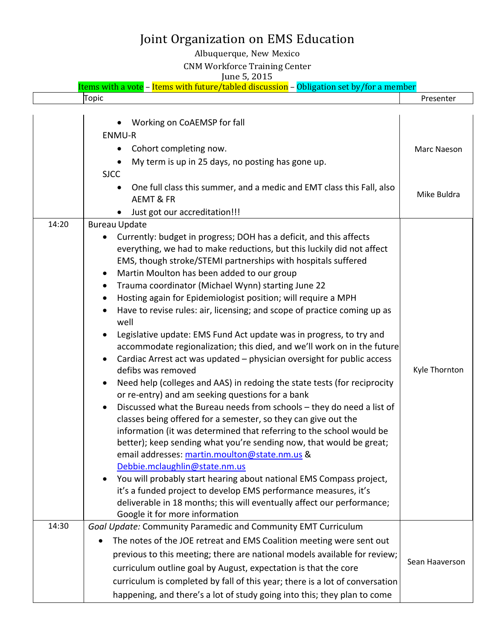### Albuquerque, New Mexico

#### CNM Workforce Training Center

#### June 5, 2015

|       | Items with a vote - Items with future/tabled discussion - Obligation set by/for a member                                                                                                                                                                                                                                                                                                                                                                                                                                                                                                                                                                                                                                                                                                                                                                                                                                                                                                                                                                                                                                                                                                                                                                                                                                                                                                                                                                                                                                                     |                |
|-------|----------------------------------------------------------------------------------------------------------------------------------------------------------------------------------------------------------------------------------------------------------------------------------------------------------------------------------------------------------------------------------------------------------------------------------------------------------------------------------------------------------------------------------------------------------------------------------------------------------------------------------------------------------------------------------------------------------------------------------------------------------------------------------------------------------------------------------------------------------------------------------------------------------------------------------------------------------------------------------------------------------------------------------------------------------------------------------------------------------------------------------------------------------------------------------------------------------------------------------------------------------------------------------------------------------------------------------------------------------------------------------------------------------------------------------------------------------------------------------------------------------------------------------------------|----------------|
|       | Topic                                                                                                                                                                                                                                                                                                                                                                                                                                                                                                                                                                                                                                                                                                                                                                                                                                                                                                                                                                                                                                                                                                                                                                                                                                                                                                                                                                                                                                                                                                                                        | Presenter      |
|       | Working on CoAEMSP for fall<br>ENMU-R<br>Cohort completing now.<br>$\bullet$<br>My term is up in 25 days, no posting has gone up.                                                                                                                                                                                                                                                                                                                                                                                                                                                                                                                                                                                                                                                                                                                                                                                                                                                                                                                                                                                                                                                                                                                                                                                                                                                                                                                                                                                                            | Marc Naeson    |
|       | <b>SJCC</b><br>One full class this summer, and a medic and EMT class this Fall, also<br>$\bullet$<br><b>AEMT &amp; FR</b><br>Just got our accreditation!!!<br>$\bullet$                                                                                                                                                                                                                                                                                                                                                                                                                                                                                                                                                                                                                                                                                                                                                                                                                                                                                                                                                                                                                                                                                                                                                                                                                                                                                                                                                                      | Mike Buldra    |
| 14:20 | <b>Bureau Update</b><br>Currently: budget in progress; DOH has a deficit, and this affects<br>everything, we had to make reductions, but this luckily did not affect<br>EMS, though stroke/STEMI partnerships with hospitals suffered<br>Martin Moulton has been added to our group<br>$\bullet$<br>Trauma coordinator (Michael Wynn) starting June 22<br>$\bullet$<br>Hosting again for Epidemiologist position; will require a MPH<br>Have to revise rules: air, licensing; and scope of practice coming up as<br>well<br>Legislative update: EMS Fund Act update was in progress, to try and<br>accommodate regionalization; this died, and we'll work on in the future<br>Cardiac Arrest act was updated - physician oversight for public access<br>defibs was removed<br>Need help (colleges and AAS) in redoing the state tests (for reciprocity<br>or re-entry) and am seeking questions for a bank<br>Discussed what the Bureau needs from schools - they do need a list of<br>classes being offered for a semester, so they can give out the<br>information (it was determined that referring to the school would be<br>better); keep sending what you're sending now, that would be great;<br>email addresses: martin.moulton@state.nm.us &<br>Debbie.mclaughlin@state.nm.us<br>You will probably start hearing about national EMS Compass project,<br>it's a funded project to develop EMS performance measures, it's<br>deliverable in 18 months; this will eventually affect our performance;<br>Google it for more information | Kyle Thornton  |
| 14:30 | Goal Update: Community Paramedic and Community EMT Curriculum<br>The notes of the JOE retreat and EMS Coalition meeting were sent out<br>previous to this meeting; there are national models available for review;<br>curriculum outline goal by August, expectation is that the core<br>curriculum is completed by fall of this year; there is a lot of conversation<br>happening, and there's a lot of study going into this; they plan to come                                                                                                                                                                                                                                                                                                                                                                                                                                                                                                                                                                                                                                                                                                                                                                                                                                                                                                                                                                                                                                                                                            | Sean Haaverson |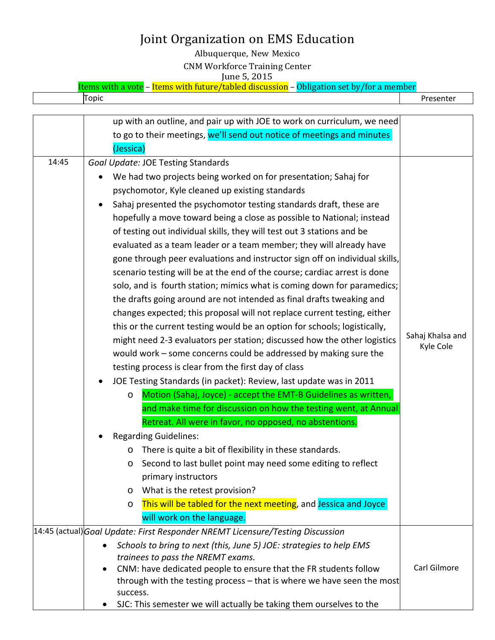Albuquerque, New Mexico CNM Workforce Training Center June 5, 2015

Items with a vote – Items with future/tabled discussion – Obligation set by/for a member

Topic Presenter

|       | up with an outline, and pair up with JOE to work on curriculum, we need                                                                    |                               |  |  |  |  |
|-------|--------------------------------------------------------------------------------------------------------------------------------------------|-------------------------------|--|--|--|--|
|       | to go to their meetings, we'll send out notice of meetings and minutes                                                                     |                               |  |  |  |  |
|       | (Jessica)                                                                                                                                  |                               |  |  |  |  |
| 14:45 | <b>Goal Update: JOE Testing Standards</b>                                                                                                  |                               |  |  |  |  |
|       | We had two projects being worked on for presentation; Sahaj for<br>٠                                                                       |                               |  |  |  |  |
|       | psychomotor, Kyle cleaned up existing standards                                                                                            |                               |  |  |  |  |
|       | Sahaj presented the psychomotor testing standards draft, these are                                                                         |                               |  |  |  |  |
|       | hopefully a move toward being a close as possible to National; instead                                                                     |                               |  |  |  |  |
|       | of testing out individual skills, they will test out 3 stations and be                                                                     |                               |  |  |  |  |
|       | evaluated as a team leader or a team member; they will already have                                                                        |                               |  |  |  |  |
|       | gone through peer evaluations and instructor sign off on individual skills,                                                                |                               |  |  |  |  |
|       | scenario testing will be at the end of the course; cardiac arrest is done                                                                  |                               |  |  |  |  |
|       | solo, and is fourth station; mimics what is coming down for paramedics;                                                                    |                               |  |  |  |  |
|       | the drafts going around are not intended as final drafts tweaking and                                                                      |                               |  |  |  |  |
|       | changes expected; this proposal will not replace current testing, either                                                                   |                               |  |  |  |  |
|       | this or the current testing would be an option for schools; logistically,                                                                  |                               |  |  |  |  |
|       | might need 2-3 evaluators per station; discussed how the other logistics                                                                   | Sahaj Khalsa and<br>Kyle Cole |  |  |  |  |
|       | would work – some concerns could be addressed by making sure the                                                                           |                               |  |  |  |  |
|       | testing process is clear from the first day of class                                                                                       |                               |  |  |  |  |
|       | JOE Testing Standards (in packet): Review, last update was in 2011<br>$\bullet$                                                            |                               |  |  |  |  |
|       | Motion (Sahaj, Joyce) - accept the EMT-B Guidelines as written,<br>$\circ$                                                                 |                               |  |  |  |  |
|       | and make time for discussion on how the testing went, at Annual                                                                            |                               |  |  |  |  |
|       | Retreat. All were in favor, no opposed, no abstentions.                                                                                    |                               |  |  |  |  |
|       | <b>Regarding Guidelines:</b>                                                                                                               |                               |  |  |  |  |
|       | There is quite a bit of flexibility in these standards.<br>$\circ$                                                                         |                               |  |  |  |  |
|       | Second to last bullet point may need some editing to reflect<br>O                                                                          |                               |  |  |  |  |
|       | primary instructors                                                                                                                        |                               |  |  |  |  |
|       | What is the retest provision?<br>O                                                                                                         |                               |  |  |  |  |
|       | This will be tabled for the next meeting, and Jessica and Joyce<br>O                                                                       |                               |  |  |  |  |
|       | will work on the language.                                                                                                                 |                               |  |  |  |  |
|       | 14:45 (actual) Goal Update: First Responder NREMT Licensure/Testing Discussion                                                             |                               |  |  |  |  |
|       | Schools to bring to next (this, June 5) JOE: strategies to help EMS<br>$\bullet$                                                           |                               |  |  |  |  |
|       | trainees to pass the NREMT exams.                                                                                                          | Carl Gilmore                  |  |  |  |  |
|       | CNM: have dedicated people to ensure that the FR students follow<br>through with the testing process - that is where we have seen the most |                               |  |  |  |  |
|       | success.                                                                                                                                   |                               |  |  |  |  |
|       | SJC: This semester we will actually be taking them ourselves to the                                                                        |                               |  |  |  |  |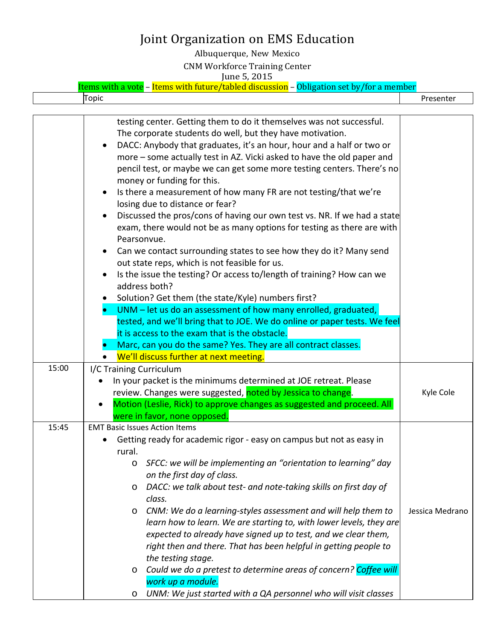Albuquerque, New Mexico CNM Workforce Training Center June 5, 2015 

| Ohligat<br>cussion<br>ahler<br>00 <sup>0</sup><br>n<br>- 1 | nber |
|------------------------------------------------------------|------|
| <b>LODIC</b>                                               | шы   |

|       | testing center. Getting them to do it themselves was not successful.<br>The corporate students do well, but they have motivation.<br>DACC: Anybody that graduates, it's an hour, hour and a half or two or<br>more - some actually test in AZ. Vicki asked to have the old paper and<br>pencil test, or maybe we can get some more testing centers. There's no<br>money or funding for this.<br>Is there a measurement of how many FR are not testing/that we're<br>losing due to distance or fear?<br>Discussed the pros/cons of having our own test vs. NR. If we had a state<br>exam, there would not be as many options for testing as there are with<br>Pearsonvue.<br>Can we contact surrounding states to see how they do it? Many send<br>out state reps, which is not feasible for us.<br>Is the issue the testing? Or access to/length of training? How can we<br>address both?<br>Solution? Get them (the state/Kyle) numbers first?<br>UNM - let us do an assessment of how many enrolled, graduated,<br>tested, and we'll bring that to JOE. We do online or paper tests. We feel<br>it is access to the exam that is the obstacle.<br>Marc, can you do the same? Yes. They are all contract classes.<br>We'll discuss further at next meeting. |                 |
|-------|--------------------------------------------------------------------------------------------------------------------------------------------------------------------------------------------------------------------------------------------------------------------------------------------------------------------------------------------------------------------------------------------------------------------------------------------------------------------------------------------------------------------------------------------------------------------------------------------------------------------------------------------------------------------------------------------------------------------------------------------------------------------------------------------------------------------------------------------------------------------------------------------------------------------------------------------------------------------------------------------------------------------------------------------------------------------------------------------------------------------------------------------------------------------------------------------------------------------------------------------------------------|-----------------|
| 15:00 |                                                                                                                                                                                                                                                                                                                                                                                                                                                                                                                                                                                                                                                                                                                                                                                                                                                                                                                                                                                                                                                                                                                                                                                                                                                              |                 |
|       | I/C Training Curriculum<br>In your packet is the minimums determined at JOE retreat. Please<br>review. Changes were suggested, noted by Jessica to change.<br>Motion (Leslie, Rick) to approve changes as suggested and proceed. All<br>were in favor, none opposed.                                                                                                                                                                                                                                                                                                                                                                                                                                                                                                                                                                                                                                                                                                                                                                                                                                                                                                                                                                                         | Kyle Cole       |
| 15:45 | <b>EMT Basic Issues Action Items</b><br>Getting ready for academic rigor - easy on campus but not as easy in<br>rural.<br>o SFCC: we will be implementing an "orientation to learning" day<br>on the first day of class.<br>DACC: we talk about test- and note-taking skills on first day of<br>O<br>class.<br>CNM: We do a learning-styles assessment and will help them to<br>O<br>learn how to learn. We are starting to, with lower levels, they are<br>expected to already have signed up to test, and we clear them,<br>right then and there. That has been helpful in getting people to<br>the testing stage.<br>Could we do a pretest to determine areas of concern? Coffee will<br>O<br>work up a module.<br>UNM: We just started with a QA personnel who will visit classes<br>O                                                                                                                                                                                                                                                                                                                                                                                                                                                                   | Jessica Medrano |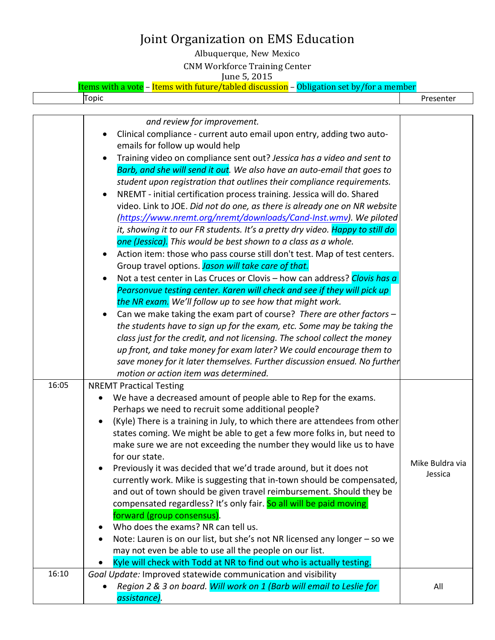Albuquerque, New Mexico CNM Workforce Training Center June 5, 2015 

| Ohliga.<br>discussion –<br>tuture/tabled<br>tor a<br>/hv<br>$\epsilon$ cat<br>ltems wi<br>ırn<br>$\overline{\phantom{0}}$ | aber      |
|---------------------------------------------------------------------------------------------------------------------------|-----------|
| Topic                                                                                                                     | Presenter |

|       | and review for improvement.                                                    |                 |
|-------|--------------------------------------------------------------------------------|-----------------|
|       | Clinical compliance - current auto email upon entry, adding two auto-          |                 |
|       | emails for follow up would help                                                |                 |
|       | Training video on compliance sent out? Jessica has a video and sent to         |                 |
|       | Barb, and she will send it out. We also have an auto-email that goes to        |                 |
|       | student upon registration that outlines their compliance requirements.         |                 |
|       | NREMT - initial certification process training. Jessica will do. Shared        |                 |
|       | video. Link to JOE. Did not do one, as there is already one on NR website      |                 |
|       | (https://www.nremt.org/nremt/downloads/Cand-Inst.wmv). We piloted              |                 |
|       | it, showing it to our FR students. It's a pretty dry video. Happy to still do  |                 |
|       | one (Jessica). This would be best shown to a class as a whole.                 |                 |
|       | Action item: those who pass course still don't test. Map of test centers.      |                 |
|       | Group travel options. Jason will take care of that.                            |                 |
|       | Not a test center in Las Cruces or Clovis - how can address? Clovis has a      |                 |
|       | Pearsonvue testing center. Karen will check and see if they will pick up       |                 |
|       | the NR exam. We'll follow up to see how that might work.                       |                 |
|       | Can we make taking the exam part of course? There are other factors -          |                 |
|       | the students have to sign up for the exam, etc. Some may be taking the         |                 |
|       | class just for the credit, and not licensing. The school collect the money     |                 |
|       | up front, and take money for exam later? We could encourage them to            |                 |
|       | save money for it later themselves. Further discussion ensued. No further      |                 |
|       | motion or action item was determined.                                          |                 |
| 16:05 | <b>NREMT Practical Testing</b>                                                 |                 |
|       | We have a decreased amount of people able to Rep for the exams.                |                 |
|       | Perhaps we need to recruit some additional people?                             |                 |
|       | (Kyle) There is a training in July, to which there are attendees from other    |                 |
|       | states coming. We might be able to get a few more folks in, but need to        |                 |
|       | make sure we are not exceeding the number they would like us to have           |                 |
|       | for our state.                                                                 | Mike Buldra via |
|       | Previously it was decided that we'd trade around, but it does not              | Jessica         |
|       | currently work. Mike is suggesting that in-town should be compensated,         |                 |
|       | and out of town should be given travel reimbursement. Should they be           |                 |
|       | compensated regardless? It's only fair. So all will be paid moving             |                 |
|       | forward (group consensus).                                                     |                 |
|       | Who does the exams? NR can tell us.<br>٠                                       |                 |
|       | Note: Lauren is on our list, but she's not NR licensed any longer - so we<br>٠ |                 |
|       | may not even be able to use all the people on our list.                        |                 |
|       | Kyle will check with Todd at NR to find out who is actually testing.           |                 |
| 16:10 | Goal Update: Improved statewide communication and visibility                   |                 |
|       | Region 2 & 3 on board. Will work on 1 (Barb will email to Leslie for           | All             |
|       | assistance).                                                                   |                 |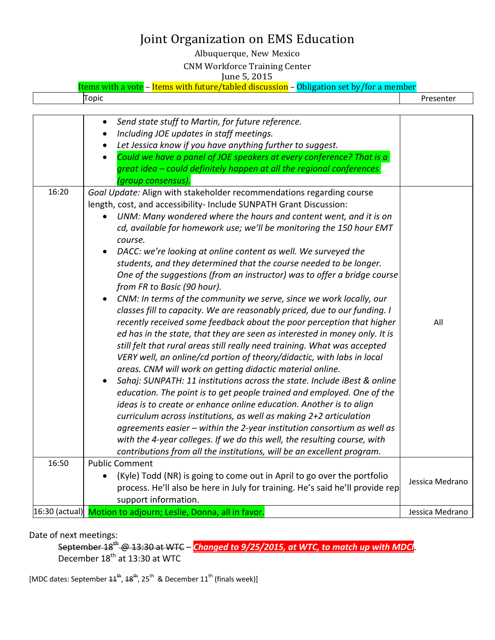Albuquerque, New Mexico

CNM Workforce Training Center

June 5, 2015

| Items with a vote – Items with future/tabled discussion – Obligation set by/for a member |           |
|------------------------------------------------------------------------------------------|-----------|
| Topic                                                                                    | Presenter |
|                                                                                          |           |

|       | Send state stuff to Martin, for future reference.<br>$\bullet$<br>Including JOE updates in staff meetings.<br>Let Jessica know if you have anything further to suggest.<br>$\bullet$<br>Could we have a panel of JOE speakers at every conference? That is a<br>$\bullet$<br>great idea - could definitely happen at all the regional conferences<br>'group consensus).                                                                                                                                                                                                                                                                                                                                                                                                                                                                                                                                                                                                                                                                                                                                                                                                                                                                                                                                                                                                                                                                                                                                                                                                                                                  |                 |
|-------|--------------------------------------------------------------------------------------------------------------------------------------------------------------------------------------------------------------------------------------------------------------------------------------------------------------------------------------------------------------------------------------------------------------------------------------------------------------------------------------------------------------------------------------------------------------------------------------------------------------------------------------------------------------------------------------------------------------------------------------------------------------------------------------------------------------------------------------------------------------------------------------------------------------------------------------------------------------------------------------------------------------------------------------------------------------------------------------------------------------------------------------------------------------------------------------------------------------------------------------------------------------------------------------------------------------------------------------------------------------------------------------------------------------------------------------------------------------------------------------------------------------------------------------------------------------------------------------------------------------------------|-----------------|
| 16:20 | Goal Update: Align with stakeholder recommendations regarding course<br>length, cost, and accessibility- Include SUNPATH Grant Discussion:<br>UNM: Many wondered where the hours and content went, and it is on<br>cd, available for homework use; we'll be monitoring the 150 hour EMT<br>course.<br>DACC: we're looking at online content as well. We surveyed the<br>students, and they determined that the course needed to be longer.<br>One of the suggestions (from an instructor) was to offer a bridge course<br>from FR to Basic (90 hour).<br>CNM: In terms of the community we serve, since we work locally, our<br>classes fill to capacity. We are reasonably priced, due to our funding. I<br>recently received some feedback about the poor perception that higher<br>ed has in the state, that they are seen as interested in money only. It is<br>still felt that rural areas still really need training. What was accepted<br>VERY well, an online/cd portion of theory/didactic, with labs in local<br>areas. CNM will work on getting didactic material online.<br>Sahaj: SUNPATH: 11 institutions across the state. Include iBest & online<br>education. The point is to get people trained and employed. One of the<br>ideas is to create or enhance online education. Another is to align<br>curriculum across institutions, as well as making 2+2 articulation<br>agreements easier - within the 2-year institution consortium as well as<br>with the 4-year colleges. If we do this well, the resulting course, with<br>contributions from all the institutions, will be an excellent program. | All             |
| 16:50 | <b>Public Comment</b><br>(Kyle) Todd (NR) is going to come out in April to go over the portfolio<br>process. He'll also be here in July for training. He's said he'll provide rep<br>support information.                                                                                                                                                                                                                                                                                                                                                                                                                                                                                                                                                                                                                                                                                                                                                                                                                                                                                                                                                                                                                                                                                                                                                                                                                                                                                                                                                                                                                | Jessica Medrano |
|       | 16:30 (actual) Motion to adjourn; Leslie, Donna, all in favor.                                                                                                                                                                                                                                                                                                                                                                                                                                                                                                                                                                                                                                                                                                                                                                                                                                                                                                                                                                                                                                                                                                                                                                                                                                                                                                                                                                                                                                                                                                                                                           | Jessica Medrano |

Date of next meetings:

September 18th @ 13:30 at WTC – *Changed to 9/25/2015, at WTC, to match up with MDCl*. December  $18^{\text{th}}$  at 13:30 at WTC

[MDC dates: September  $44^{th}$ ,  $48^{th}$ , 25<sup>th</sup> & December  $11^{th}$  (finals week)]